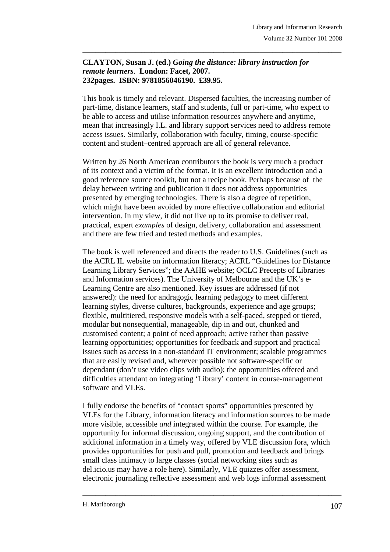## **CLAYTON, Susan J. (ed.)** *Going the distance: library instruction for remote learners*. **London: Facet, 2007. 232pages. ISBN: 9781856046190. £39.95.**

This book is timely and relevant. Dispersed faculties, the increasing number of part-time, distance learners, staff and students, full or part-time, who expect to be able to access and utilise information resources anywhere and anytime, mean that increasingly I.L. and library support services need to address remote access issues. Similarly, collaboration with faculty, timing, course-specific content and student–centred approach are all of general relevance.

\_\_\_\_\_\_\_\_\_\_\_\_\_\_\_\_\_\_\_\_\_\_\_\_\_\_\_\_\_\_\_\_\_\_\_\_\_\_\_\_\_\_\_\_\_\_\_\_\_\_\_\_\_\_\_\_\_\_\_\_\_\_\_\_\_\_\_\_\_\_\_\_\_\_\_\_\_\_\_

Written by 26 North American contributors the book is very much a product of its context and a victim of the format. It is an excellent introduction and a good reference source toolkit, but not a recipe book. Perhaps because of the delay between writing and publication it does not address opportunities presented by emerging technologies. There is also a degree of repetition, which might have been avoided by more effective collaboration and editorial intervention. In my view, it did not live up to its promise to deliver real, practical, expert *examples* of design, delivery, collaboration and assessment and there are few tried and tested methods and examples.

The book is well referenced and directs the reader to U.S. Guidelines (such as the ACRL IL website on information literacy; ACRL "Guidelines for Distance Learning Library Services"; the AAHE website; OCLC Precepts of Libraries and Information services). The University of Melbourne and the UK's e-Learning Centre are also mentioned. Key issues are addressed (if not answered): the need for andragogic learning pedagogy to meet different learning styles, diverse cultures, backgrounds, experience and age groups; flexible, multitiered, responsive models with a self-paced, stepped or tiered, modular but nonsequential, manageable, dip in and out, chunked and customised content; a point of need approach; active rather than passive learning opportunities; opportunities for feedback and support and practical issues such as access in a non-standard IT environment; scalable programmes that are easily revised and, wherever possible not software-specific or dependant (don't use video clips with audio); the opportunities offered and difficulties attendant on integrating 'Library' content in course-management software and VLEs.

I fully endorse the benefits of "contact sports" opportunities presented by VLEs for the Library, information literacy and information sources to be made more visible, accessible *and* integrated within the course. For example, the opportunity for informal discussion, ongoing support, and the contribution of additional information in a timely way, offered by VLE discussion fora, which provides opportunities for push and pull, promotion and feedback and brings small class intimacy to large classes (social networking sites such as del.icio.us may have a role here). Similarly, VLE quizzes offer assessment, electronic journaling reflective assessment and web logs informal assessment

\_\_\_\_\_\_\_\_\_\_\_\_\_\_\_\_\_\_\_\_\_\_\_\_\_\_\_\_\_\_\_\_\_\_\_\_\_\_\_\_\_\_\_\_\_\_\_\_\_\_\_\_\_\_\_\_\_\_\_\_\_\_\_\_\_\_\_\_\_\_\_\_\_\_\_\_\_\_\_